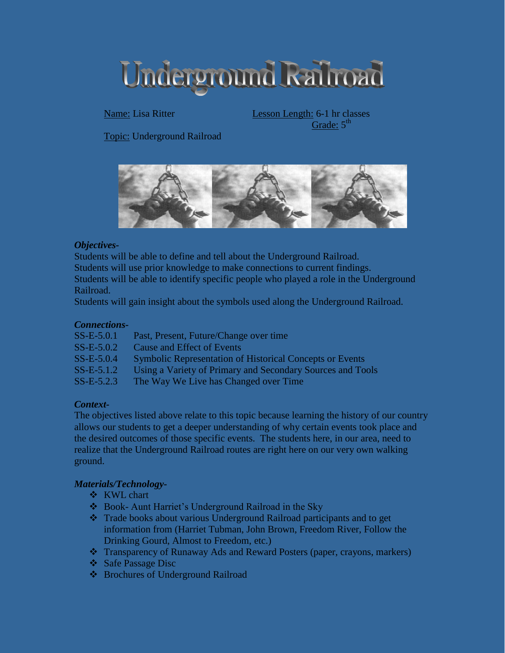Underground Railroad

Name: Lisa Ritter Lesson Length: 6-1 hr classes Grade:  $5^{\text{th}}$ 

Topic: Underground Railroad



### *Objectives-*

Students will be able to define and tell about the Underground Railroad.

Students will use prior knowledge to make connections to current findings.

Students will be able to identify specific people who played a role in the Underground Railroad.

Students will gain insight about the symbols used along the Underground Railroad.

#### *Connections-*

| $SS-E-5.0.1$ | Past, Present, Future/Change over time                          |
|--------------|-----------------------------------------------------------------|
| $SS-E-5.0.2$ | Cause and Effect of Events                                      |
| $SS-E-5.0.4$ | <b>Symbolic Representation of Historical Concepts or Events</b> |
| $SS-E-5.1.2$ | Using a Variety of Primary and Secondary Sources and Tools      |
| $SS-E-5.2.3$ | The Way We Live has Changed over Time                           |

### *Context-*

The objectives listed above relate to this topic because learning the history of our country allows our students to get a deeper understanding of why certain events took place and the desired outcomes of those specific events. The students here, in our area, need to realize that the Underground Railroad routes are right here on our very own walking ground.

### *Materials/Technology-*

- **❖** KWL chart
- Book- Aunt Harriet's Underground Railroad in the Sky
- Trade books about various Underground Railroad participants and to get information from (Harriet Tubman, John Brown, Freedom River, Follow the Drinking Gourd, Almost to Freedom, etc.)
- Transparency of Runaway Ads and Reward Posters (paper, crayons, markers)
- Safe Passage Disc
- **❖** Brochures of Underground Railroad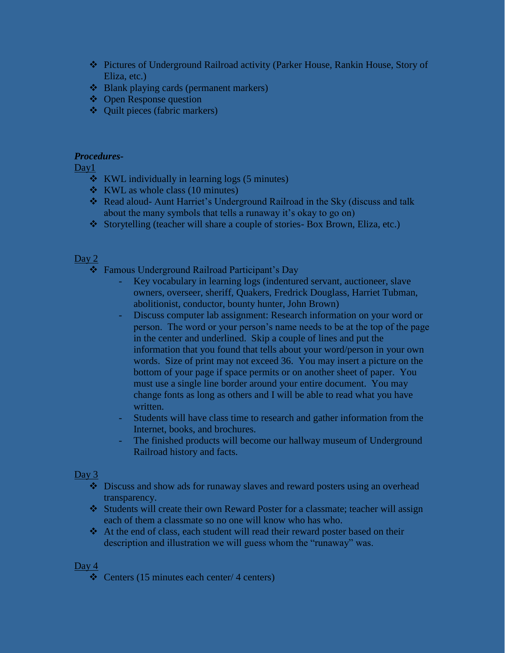- Pictures of Underground Railroad activity (Parker House, Rankin House, Story of Eliza, etc.)
- Blank playing cards (permanent markers)
- **❖** Open Response question
- $\triangleleft$  Quilt pieces (fabric markers)

### *Procedures-*

Day<sub>1</sub>

- KWL individually in learning logs (5 minutes)
- $\bullet$  KWL as whole class (10 minutes)
- Read aloud- Aunt Harriet's Underground Railroad in the Sky (discuss and talk about the many symbols that tells a runaway it's okay to go on)
- Storytelling (teacher will share a couple of stories- Box Brown, Eliza, etc.)

# Day 2

- Famous Underground Railroad Participant's Day
	- Key vocabulary in learning logs (indentured servant, auctioneer, slave owners, overseer, sheriff, Quakers, Fredrick Douglass, Harriet Tubman, abolitionist, conductor, bounty hunter, John Brown)
	- Discuss computer lab assignment: Research information on your word or person. The word or your person's name needs to be at the top of the page in the center and underlined. Skip a couple of lines and put the information that you found that tells about your word/person in your own words. Size of print may not exceed 36. You may insert a picture on the bottom of your page if space permits or on another sheet of paper. You must use a single line border around your entire document. You may change fonts as long as others and I will be able to read what you have written.
	- Students will have class time to research and gather information from the Internet, books, and brochures.
	- The finished products will become our hallway museum of Underground Railroad history and facts.

### Day  $3$

- Discuss and show ads for runaway slaves and reward posters using an overhead transparency.
- Students will create their own Reward Poster for a classmate; teacher will assign each of them a classmate so no one will know who has who.
- At the end of class, each student will read their reward poster based on their description and illustration we will guess whom the "runaway" was.

#### Day 4

 $\div$  Centers (15 minutes each center/ 4 centers)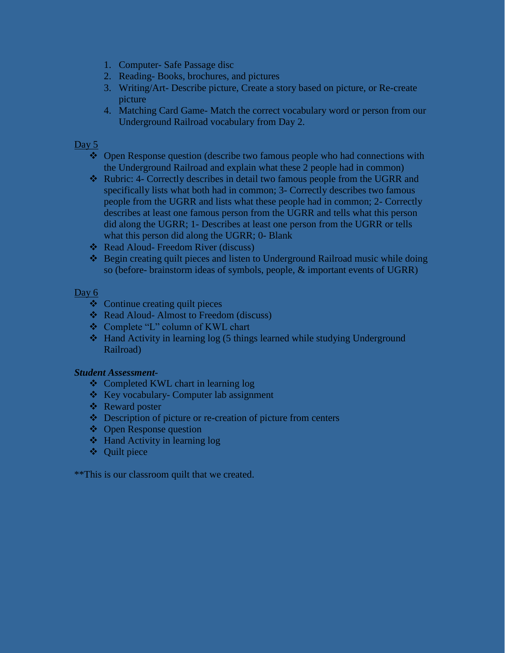- 1. Computer- Safe Passage disc
- 2. Reading- Books, brochures, and pictures
- 3. Writing/Art- Describe picture, Create a story based on picture, or Re-create picture
- 4. Matching Card Game- Match the correct vocabulary word or person from our Underground Railroad vocabulary from Day 2.

## Day 5

- Open Response question (describe two famous people who had connections with the Underground Railroad and explain what these 2 people had in common)
- \* Rubric: 4- Correctly describes in detail two famous people from the UGRR and specifically lists what both had in common; 3- Correctly describes two famous people from the UGRR and lists what these people had in common; 2- Correctly describes at least one famous person from the UGRR and tells what this person did along the UGRR; 1- Describes at least one person from the UGRR or tells what this person did along the UGRR; 0- Blank
- ❖ Read Aloud- Freedom River (discuss)
- Begin creating quilt pieces and listen to Underground Railroad music while doing so (before- brainstorm ideas of symbols, people, & important events of UGRR)

# Day 6

- Continue creating quilt pieces
- ❖ Read Aloud- Almost to Freedom (discuss)
- Complete "L" column of KWL chart
- $\triangleleft$  Hand Activity in learning log (5 things learned while studying Underground Railroad)

### *Student Assessment-*

- ❖ Completed KWL chart in learning log
- ❖ Key vocabulary- Computer lab assignment
- ❖ Reward poster
- $\triangle$  Description of picture or re-creation of picture from centers
- **❖** Open Response question
- $\triangleleft$  Hand Activity in learning log
- Quilt piece

\*\*This is our classroom quilt that we created.